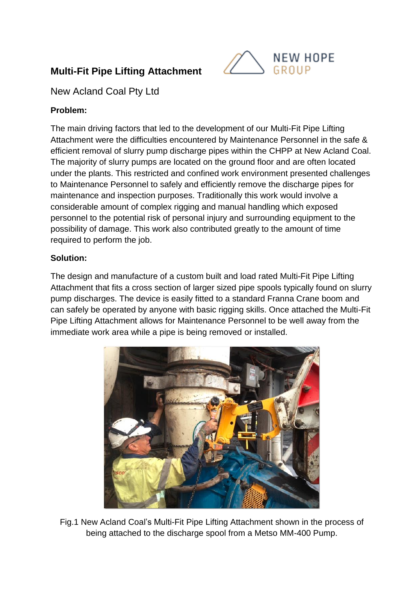# **Multi-Fit Pipe Lifting Attachment**



New Acland Coal Pty Ltd

## **Problem:**

The main driving factors that led to the development of our Multi-Fit Pipe Lifting Attachment were the difficulties encountered by Maintenance Personnel in the safe & efficient removal of slurry pump discharge pipes within the CHPP at New Acland Coal. The majority of slurry pumps are located on the ground floor and are often located under the plants. This restricted and confined work environment presented challenges to Maintenance Personnel to safely and efficiently remove the discharge pipes for maintenance and inspection purposes. Traditionally this work would involve a considerable amount of complex rigging and manual handling which exposed personnel to the potential risk of personal injury and surrounding equipment to the possibility of damage. This work also contributed greatly to the amount of time required to perform the job.

#### **Solution:**

The design and manufacture of a custom built and load rated Multi-Fit Pipe Lifting Attachment that fits a cross section of larger sized pipe spools typically found on slurry pump discharges. The device is easily fitted to a standard Franna Crane boom and can safely be operated by anyone with basic rigging skills. Once attached the Multi-Fit Pipe Lifting Attachment allows for Maintenance Personnel to be well away from the immediate work area while a pipe is being removed or installed.



Fig.1 New Acland Coal's Multi-Fit Pipe Lifting Attachment shown in the process of being attached to the discharge spool from a Metso MM-400 Pump.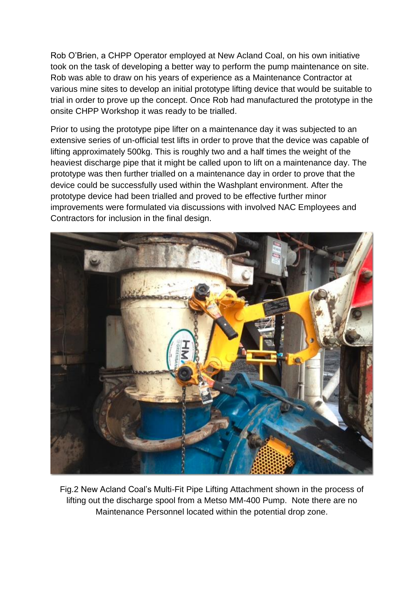Rob O'Brien, a CHPP Operator employed at New Acland Coal, on his own initiative took on the task of developing a better way to perform the pump maintenance on site. Rob was able to draw on his years of experience as a Maintenance Contractor at various mine sites to develop an initial prototype lifting device that would be suitable to trial in order to prove up the concept. Once Rob had manufactured the prototype in the onsite CHPP Workshop it was ready to be trialled.

Prior to using the prototype pipe lifter on a maintenance day it was subjected to an extensive series of un-official test lifts in order to prove that the device was capable of lifting approximately 500kg. This is roughly two and a half times the weight of the heaviest discharge pipe that it might be called upon to lift on a maintenance day. The prototype was then further trialled on a maintenance day in order to prove that the device could be successfully used within the Washplant environment. After the prototype device had been trialled and proved to be effective further minor improvements were formulated via discussions with involved NAC Employees and Contractors for inclusion in the final design.



Fig.2 New Acland Coal's Multi-Fit Pipe Lifting Attachment shown in the process of lifting out the discharge spool from a Metso MM-400 Pump. Note there are no Maintenance Personnel located within the potential drop zone.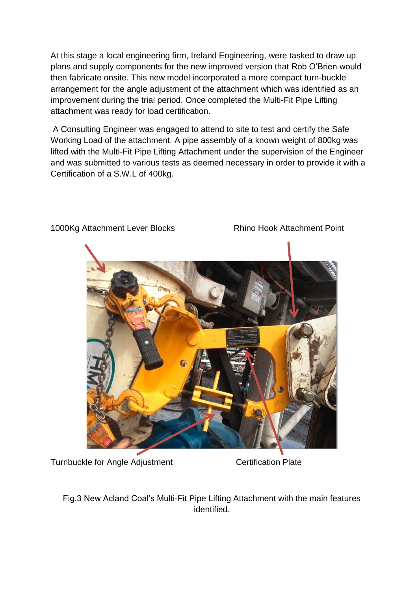At this stage a local engineering firm, Ireland Engineering, were tasked to draw up plans and supply components for the new improved version that Rob O'Brien would then fabricate onsite. This new model incorporated a more compact turn-buckle arrangement for the angle adjustment of the attachment which was identified as an improvement during the trial period. Once completed the Multi-Fit Pipe Lifting attachment was ready for load certification.

A Consulting Engineer was engaged to attend to site to test and certify the Safe Working Load of the attachment. A pipe assembly of a known weight of 800kg was lifted with the Multi-Fit Pipe Lifting Attachment under the supervision of the Engineer and was submitted to various tests as deemed necessary in order to provide it with a Certification of a S.W.L of 400kg.



1000Kg Attachment Lever Blocks Rhino Hook Attachment Point

Turnbuckle for Angle Adjustment Certification Plate

Fig.3 New Acland Coal's Multi-Fit Pipe Lifting Attachment with the main features identified.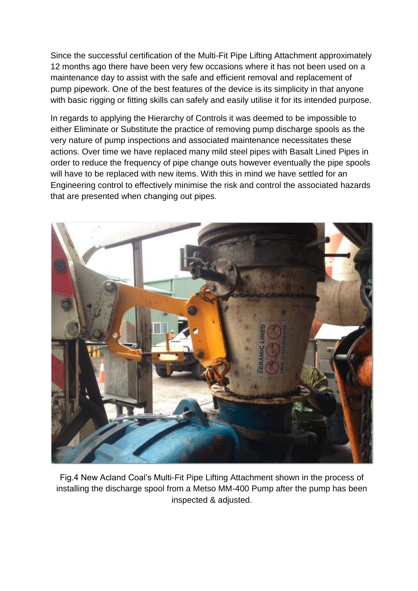Since the successful certification of the Multi-Fit Pipe Lifting Attachment approximately 12 months ago there have been very few occasions where it has not been used on a maintenance day to assist with the safe and efficient removal and replacement of pump pipework. One of the best features of the device is its simplicity in that anyone with basic rigging or fitting skills can safely and easily utilise it for its intended purpose.

In regards to applying the Hierarchy of Controls it was deemed to be impossible to either Eliminate or Substitute the practice of removing pump discharge spools as the very nature of pump inspections and associated maintenance necessitates these actions. Over time we have replaced many mild steel pipes with Basalt Lined Pipes in order to reduce the frequency of pipe change outs however eventually the pipe spools will have to be replaced with new items. With this in mind we have settled for an Engineering control to effectively minimise the risk and control the associated hazards that are presented when changing out pipes.



Fig.4 New Acland Coal's Multi-Fit Pipe Lifting Attachment shown in the process of installing the discharge spool from a Metso MM-400 Pump after the pump has been inspected & adjusted.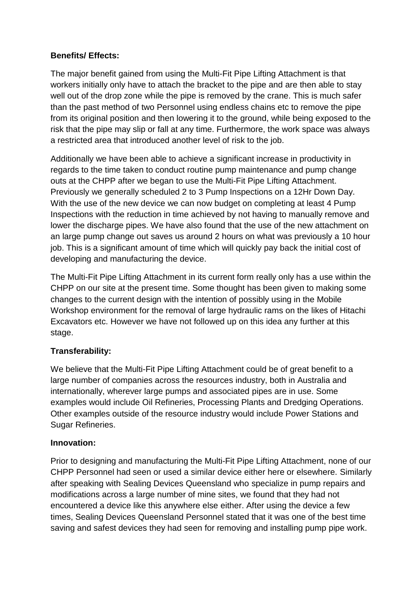### **Benefits/ Effects:**

The major benefit gained from using the Multi-Fit Pipe Lifting Attachment is that workers initially only have to attach the bracket to the pipe and are then able to stay well out of the drop zone while the pipe is removed by the crane. This is much safer than the past method of two Personnel using endless chains etc to remove the pipe from its original position and then lowering it to the ground, while being exposed to the risk that the pipe may slip or fall at any time. Furthermore, the work space was always a restricted area that introduced another level of risk to the job.

Additionally we have been able to achieve a significant increase in productivity in regards to the time taken to conduct routine pump maintenance and pump change outs at the CHPP after we began to use the Multi-Fit Pipe Lifting Attachment. Previously we generally scheduled 2 to 3 Pump Inspections on a 12Hr Down Day. With the use of the new device we can now budget on completing at least 4 Pump Inspections with the reduction in time achieved by not having to manually remove and lower the discharge pipes. We have also found that the use of the new attachment on an large pump change out saves us around 2 hours on what was previously a 10 hour job. This is a significant amount of time which will quickly pay back the initial cost of developing and manufacturing the device.

The Multi-Fit Pipe Lifting Attachment in its current form really only has a use within the CHPP on our site at the present time. Some thought has been given to making some changes to the current design with the intention of possibly using in the Mobile Workshop environment for the removal of large hydraulic rams on the likes of Hitachi Excavators etc. However we have not followed up on this idea any further at this stage.

# **Transferability:**

We believe that the Multi-Fit Pipe Lifting Attachment could be of great benefit to a large number of companies across the resources industry, both in Australia and internationally, wherever large pumps and associated pipes are in use. Some examples would include Oil Refineries, Processing Plants and Dredging Operations. Other examples outside of the resource industry would include Power Stations and Sugar Refineries.

#### **Innovation:**

Prior to designing and manufacturing the Multi-Fit Pipe Lifting Attachment, none of our CHPP Personnel had seen or used a similar device either here or elsewhere. Similarly after speaking with Sealing Devices Queensland who specialize in pump repairs and modifications across a large number of mine sites, we found that they had not encountered a device like this anywhere else either. After using the device a few times, Sealing Devices Queensland Personnel stated that it was one of the best time saving and safest devices they had seen for removing and installing pump pipe work.